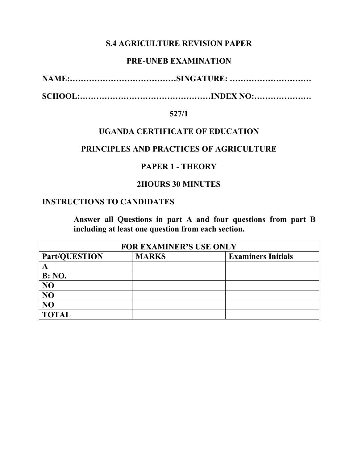### **S.4 AGRICULTURE REVISION PAPER**

### **PRE-UNEB EXAMINATION**

**NAME:…………………………………SINGATURE: …………………………** 

**SCHOOL:…………………………………………INDEX NO:…………………** 

#### **527/1**

### **UGANDA CERTIFICATE OF EDUCATION**

#### **PRINCIPLES AND PRACTICES OF AGRICULTURE**

### **PAPER 1 - THEORY**

### **2HOURS 30 MINUTES**

### **INSTRUCTIONS TO CANDIDATES**

**Answer all Questions in part A and four questions from part B including at least one question from each section.** 

| <b>FOR EXAMINER'S USE ONLY</b> |              |                           |
|--------------------------------|--------------|---------------------------|
| <b>Part/QUESTION</b>           | <b>MARKS</b> | <b>Examiners Initials</b> |
|                                |              |                           |
| <b>B:</b> NO.                  |              |                           |
| NO                             |              |                           |
| NO                             |              |                           |
| NO                             |              |                           |
| <b>TOTAL</b>                   |              |                           |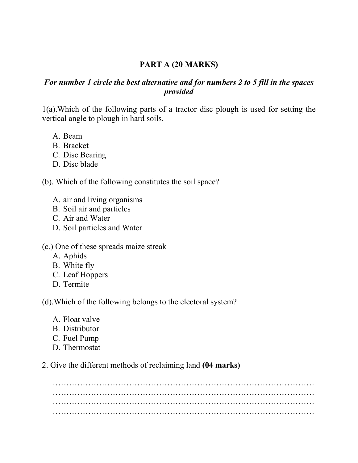## **PART A (20 MARKS)**

## *For number 1 circle the best alternative and for numbers 2 to 5 fill in the spaces provided*

1(a).Which of the following parts of a tractor disc plough is used for setting the vertical angle to plough in hard soils.

- A. Beam
- B. Bracket
- C. Disc Bearing
- D. Disc blade

(b). Which of the following constitutes the soil space?

- A. air and living organisms
- B. Soil air and particles
- C. Air and Water
- D. Soil particles and Water

(c.) One of these spreads maize streak

- A. Aphids
- B. White fly
- C. Leaf Hoppers
- D. Termite

(d).Which of the following belongs to the electoral system?

- A. Float valve
- B. Distributor
- C. Fuel Pump
- D. Thermostat

2. Give the different methods of reclaiming land **(04 marks)**

…………………………………………………………………………………… …………………………………………………………………………………… …………………………………………………………………………………… ……………………………………………………………………………………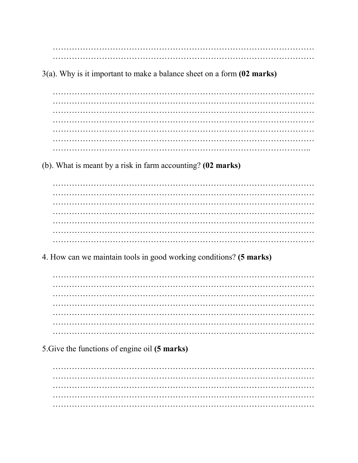$3(a)$ . Why is it important to make a balance sheet on a form  $(02 \text{ marks})$ 

 $\ddotsc$  $\ddotsc$ 

(b). What is meant by a risk in farm accounting? (02 marks)

4. How can we maintain tools in good working conditions? (5 marks)

5. Give the functions of engine oil (5 marks)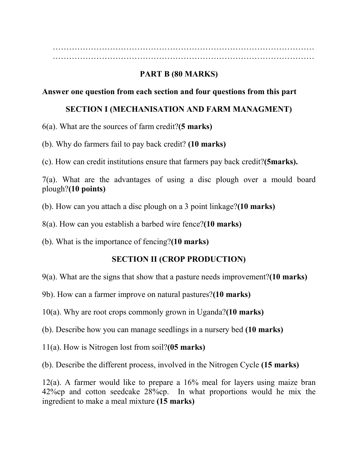…………………………………………………………………………………… ……………………………………………………………………………………

# **PART B (80 MARKS)**

### **Answer one question from each section and four questions from this part**

### **SECTION I (MECHANISATION AND FARM MANAGMENT)**

- 6(a). What are the sources of farm credit?**(5 marks)**
- (b). Why do farmers fail to pay back credit? **(10 marks)**
- (c). How can credit institutions ensure that farmers pay back credit?**(5marks).**

7(a). What are the advantages of using a disc plough over a mould board plough?**(10 points)** 

- (b). How can you attach a disc plough on a 3 point linkage?**(10 marks)**
- 8(a). How can you establish a barbed wire fence?**(10 marks)**
- (b). What is the importance of fencing?**(10 marks)**

## **SECTION II (CROP PRODUCTION)**

- 9(a). What are the signs that show that a pasture needs improvement?**(10 marks)**
- 9b). How can a farmer improve on natural pastures?**(10 marks)**
- 10(a). Why are root crops commonly grown in Uganda?**(10 marks)**
- (b). Describe how you can manage seedlings in a nursery bed **(10 marks)**
- 11(a). How is Nitrogen lost from soil?**(05 marks)**
- (b). Describe the different process, involved in the Nitrogen Cycle **(15 marks)**

12(a). A farmer would like to prepare a 16% meal for layers using maize bran 42%cp and cotton seedcake 28%cp. In what proportions would he mix the ingredient to make a meal mixture **(15 marks)**